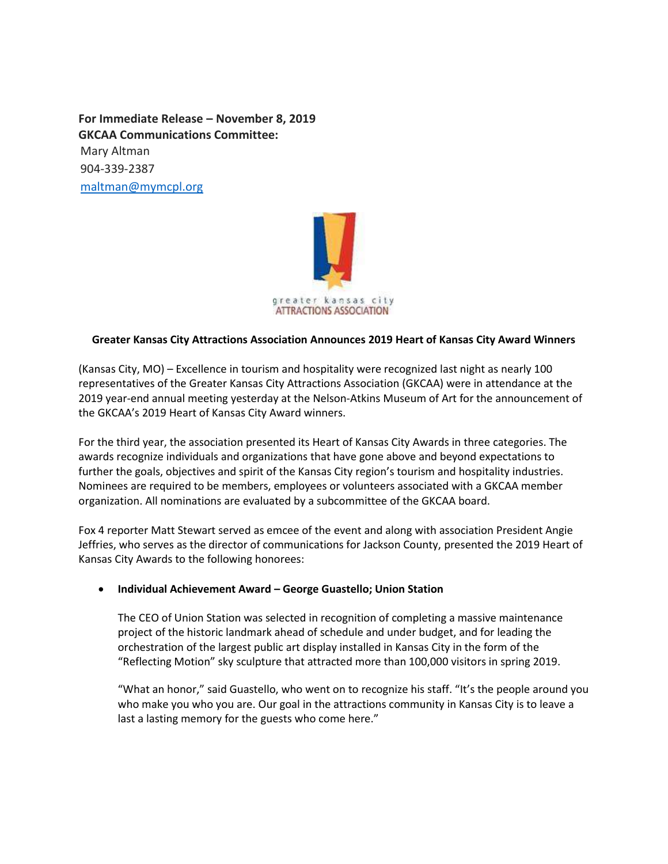**For Immediate Release – November 8, 2019 GKCAA Communications Committee:**  Mary Altman 904-339-2387 [maltman@mymcpl.org](mailto:maltman@mymcpl.org)



## **Greater Kansas City Attractions Association Announces 2019 Heart of Kansas City Award Winners**

(Kansas City, MO) – Excellence in tourism and hospitality were recognized last night as nearly 100 representatives of the Greater Kansas City Attractions Association (GKCAA) were in attendance at the 2019 year-end annual meeting yesterday at the Nelson-Atkins Museum of Art for the announcement of the GKCAA's 2019 Heart of Kansas City Award winners.

For the third year, the association presented its Heart of Kansas City Awards in three categories. The awards recognize individuals and organizations that have gone above and beyond expectations to further the goals, objectives and spirit of the Kansas City region's tourism and hospitality industries. Nominees are required to be members, employees or volunteers associated with a GKCAA member organization. All nominations are evaluated by a subcommittee of the GKCAA board.

Fox 4 reporter Matt Stewart served as emcee of the event and along with association President Angie Jeffries, who serves as the director of communications for Jackson County, presented the 2019 Heart of Kansas City Awards to the following honorees:

#### **Individual Achievement Award – George Guastello; Union Station**

The CEO of Union Station was selected in recognition of completing a massive maintenance project of the historic landmark ahead of schedule and under budget, and for leading the orchestration of the largest public art display installed in Kansas City in the form of the "Reflecting Motion" sky sculpture that attracted more than 100,000 visitors in spring 2019.

"What an honor," said Guastello, who went on to recognize his staff. "It's the people around you who make you who you are. Our goal in the attractions community in Kansas City is to leave a last a lasting memory for the guests who come here."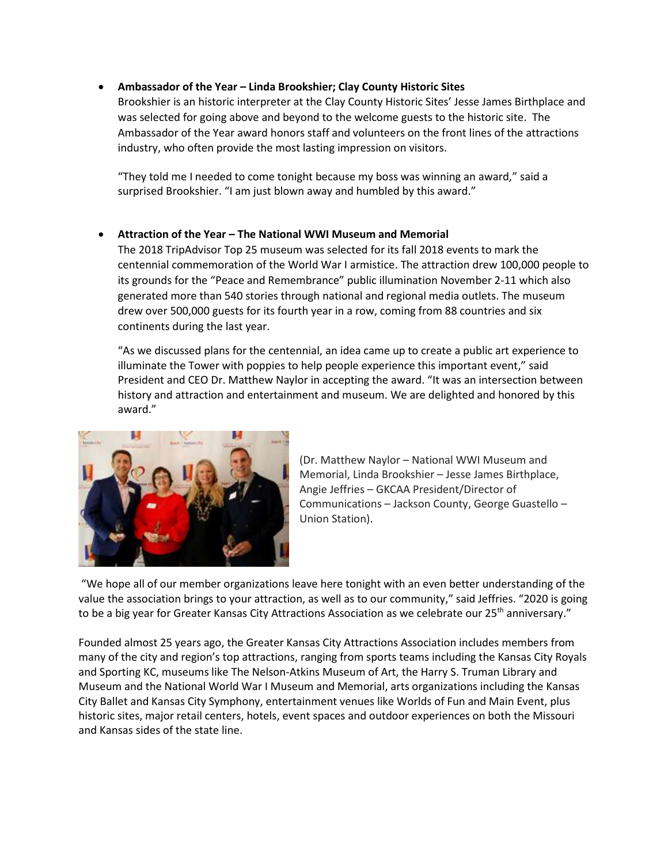# **Ambassador of the Year – Linda Brookshier; Clay County Historic Sites**

Brookshier is an historic interpreter at the Clay County Historic Sites' Jesse James Birthplace and was selected for going above and beyond to the welcome guests to the historic site. The Ambassador of the Year award honors staff and volunteers on the front lines of the attractions industry, who often provide the most lasting impression on visitors.

"They told me I needed to come tonight because my boss was winning an award," said a surprised Brookshier. "I am just blown away and humbled by this award."

## **Attraction of the Year – The National WWI Museum and Memorial**

The 2018 TripAdvisor Top 25 museum was selected for its fall 2018 events to mark the centennial commemoration of the World War I armistice. The attraction drew 100,000 people to its grounds for the "Peace and Remembrance" public illumination November 2-11 which also generated more than 540 stories through national and regional media outlets. The museum drew over 500,000 guests for its fourth year in a row, coming from 88 countries and six continents during the last year.

"As we discussed plans for the centennial, an idea came up to create a public art experience to illuminate the Tower with poppies to help people experience this important event," said President and CEO Dr. Matthew Naylor in accepting the award. "It was an intersection between history and attraction and entertainment and museum. We are delighted and honored by this award."



(Dr. Matthew Naylor – National WWI Museum and Memorial, Linda Brookshier – Jesse James Birthplace, Angie Jeffries – GKCAA President/Director of Communications – Jackson County, George Guastello – Union Station).

"We hope all of our member organizations leave here tonight with an even better understanding of the value the association brings to your attraction, as well as to our community," said Jeffries. "2020 is going to be a big year for Greater Kansas City Attractions Association as we celebrate our 25<sup>th</sup> anniversary."

Founded almost 25 years ago, the Greater Kansas City Attractions Association includes members from many of the city and region's top attractions, ranging from sports teams including the Kansas City Royals and Sporting KC, museums like The Nelson-Atkins Museum of Art, the Harry S. Truman Library and Museum and the National World War I Museum and Memorial, arts organizations including the Kansas City Ballet and Kansas City Symphony, entertainment venues like Worlds of Fun and Main Event, plus historic sites, major retail centers, hotels, event spaces and outdoor experiences on both the Missouri and Kansas sides of the state line.